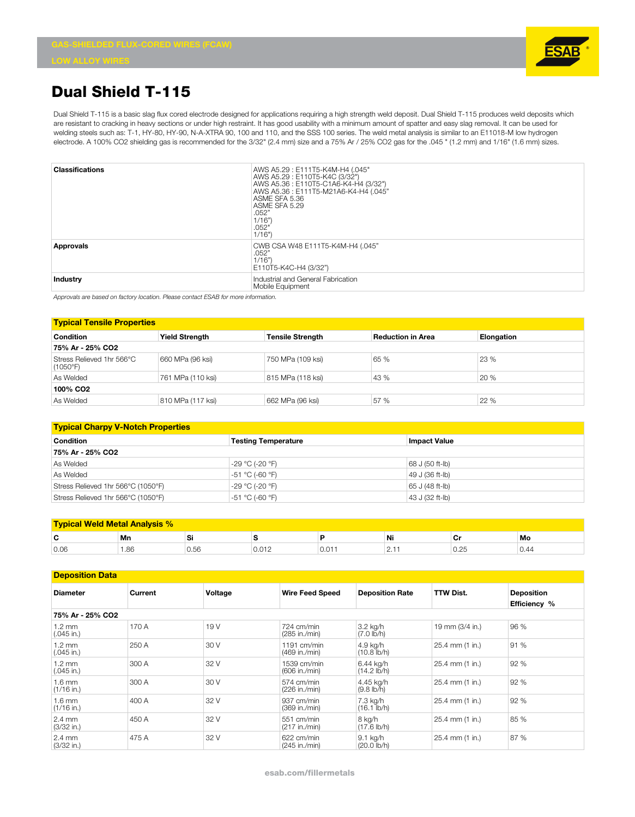

## **Dual Shield T-115**

Dual Shield T-115 is a basic slag flux cored electrode designed for applications requiring a high strength weld deposit. Dual Shield T-115 produces weld deposits which are resistant to cracking in heavy sections or under high restraint. It has good usability with a minimum amount of spatter and easy slag removal. It can be used for welding steels such as: T-1, HY-80, HY-90, N-A-XTRA 90, 100 and 110, and the SSS 100 series. The weld metal analysis is similar to an E11018-M low hydrogen electrode. A 100% CO2 shielding gas is recommended for the 3/32" (2.4 mm) size and a 75% Ar / 25% CO2 gas for the .045 " (1.2 mm) and 1/16" (1.6 mm) sizes.

| <b>Classifications</b> | AWS A5.29: E111T5-K4M-H4 (.045"<br>AWS A5.29: E110T5-K4C (3/32")<br>AWS A5.36: E110T5-C1A6-K4-H4 (3/32")<br>AWS A5.36: E111T5-M21A6-K4-H4 (.045"<br>ASME SFA 5.36<br>ASME SFA 5.29<br>.052"<br>1/16"<br>.052"<br>1/16" |
|------------------------|------------------------------------------------------------------------------------------------------------------------------------------------------------------------------------------------------------------------|
| <b>Approvals</b>       | CWB CSA W48 E111T5-K4M-H4 (.045"<br>.052"<br>1/16"<br>E110T5-K4C-H4 (3/32")                                                                                                                                            |
| Industry               | Industrial and General Fabrication<br>Mobile Equipment                                                                                                                                                                 |

*Approvals are based on factory location. Please contact ESAB for more information.*

| <b>Typical Tensile Properties</b>     |                       |                         |                          |            |  |  |
|---------------------------------------|-----------------------|-------------------------|--------------------------|------------|--|--|
| Condition                             | <b>Yield Strength</b> | <b>Tensile Strength</b> | <b>Reduction in Area</b> | Elongation |  |  |
| 75% Ar - 25% CO2                      |                       |                         |                          |            |  |  |
| Stress Relieved 1hr 566°C<br>(1050°F) | 660 MPa (96 ksi)      | 750 MPa (109 ksi)       | 65 %                     | 23 %       |  |  |
| As Welded                             | 761 MPa (110 ksi)     | 815 MPa (118 ksi)       | 43 %                     | 20 %       |  |  |
| 100% CO <sub>2</sub>                  |                       |                         |                          |            |  |  |
| As Welded                             | 810 MPa (117 ksi)     | 662 MPa (96 ksi)        | 57 %                     | 22 %       |  |  |

| <b>Typical Charpy V-Notch Properties</b> |                            |                     |  |  |  |  |
|------------------------------------------|----------------------------|---------------------|--|--|--|--|
| <b>Condition</b>                         | <b>Testing Temperature</b> | <b>Impact Value</b> |  |  |  |  |
| 75% Ar - 25% CO2                         |                            |                     |  |  |  |  |
| As Welded                                | -29 °C (-20 °F)            | 68 J (50 ft-lb)     |  |  |  |  |
| As Welded                                | -51 °C (-60 °F)            | 49 J (36 ft-lb)     |  |  |  |  |
| Stress Relieved 1hr 566°C (1050°F)       | -29 °C (-20 °F)            | 65 J (48 ft-lb)     |  |  |  |  |
| Stress Relieved 1hr 566°C (1050°F)       | -51 °C (-60 °F)            | 43 J (32 ft-lb)     |  |  |  |  |

| <b>Weld Metal Analysis %</b> |                            |      |       |      |             |      |      |
|------------------------------|----------------------------|------|-------|------|-------------|------|------|
| ◠<br>v                       | Mn<br>Mo<br>Ni<br>Cr<br>וכ |      |       |      |             |      |      |
| 0.06                         | . 86                       | 0.56 | 0.012 | U.UT | $\sim\cdot$ | 0.25 | 0.44 |

| <b>Deposition Data</b>           |         |                 |                                    |                                    |                  |                                   |
|----------------------------------|---------|-----------------|------------------------------------|------------------------------------|------------------|-----------------------------------|
| <b>Diameter</b>                  | Current | Voltage         | <b>Wire Feed Speed</b>             | <b>Deposition Rate</b>             | <b>TTW Dist.</b> | <b>Deposition</b><br>Efficiency % |
| 75% Ar - 25% CO2                 |         |                 |                                    |                                    |                  |                                   |
| $1.2 \text{ mm}$<br>$(.045$ in.) | 170 A   | 19 <sub>V</sub> | 724 cm/min<br>$(285$ in./min)      | 3.2 kg/h<br>$(7.0 \, lb/h)$        | 19 mm (3/4 in.)  | 96 %                              |
| $1.2 \text{ mm}$<br>$(.045$ in.) | 250 A   | 30 V            | $1191$ cm/min<br>$(469$ in $/min)$ | 4.9 kg/h<br>$(10.8$ lb/h)          | 25.4 mm (1 in.)  | 91 %                              |
| $1.2 \text{ mm}$<br>$(.045$ in.) | 300 A   | 32 V            | 1539 cm/min<br>(606 in./min)       | 6.44 ka/h<br>$(14.2 \text{ lb/h})$ | 25.4 mm (1 in.)  | 92 %                              |
| $1.6 \text{ mm}$<br>$(1/16$ in.) | 300 A   | 30 V            | 574 cm/min<br>(226 in./min)        | 4.45 kg/h<br>$(9.8 \, lb/h)$       | 25.4 mm (1 in.)  | 92 %                              |
| $1.6 \text{ mm}$<br>$(1/16$ in.) | 400 A   | 32 V            | 937 cm/min<br>(369 in./min)        | 7.3 ka/h<br>$(16.1$ lb/h)          | 25.4 mm (1 in.)  | 92 %                              |
| $2.4 \text{ mm}$<br>$(3/32$ in.) | 450 A   | 32 V            | $551$ cm/min<br>(217 in./min)      | 8 kg/h<br>$(17.6 \text{ lb/h})$    | 25.4 mm (1 in.)  | 85 %                              |
| $2.4 \text{ mm}$<br>$(3/32$ in.) | 475 A   | 32 V            | 622 cm/min<br>$(245$ in./min)      | $9.1$ kg/h<br>$(20.0$ lb/h)        | 25.4 mm (1 in.)  | 87 %                              |